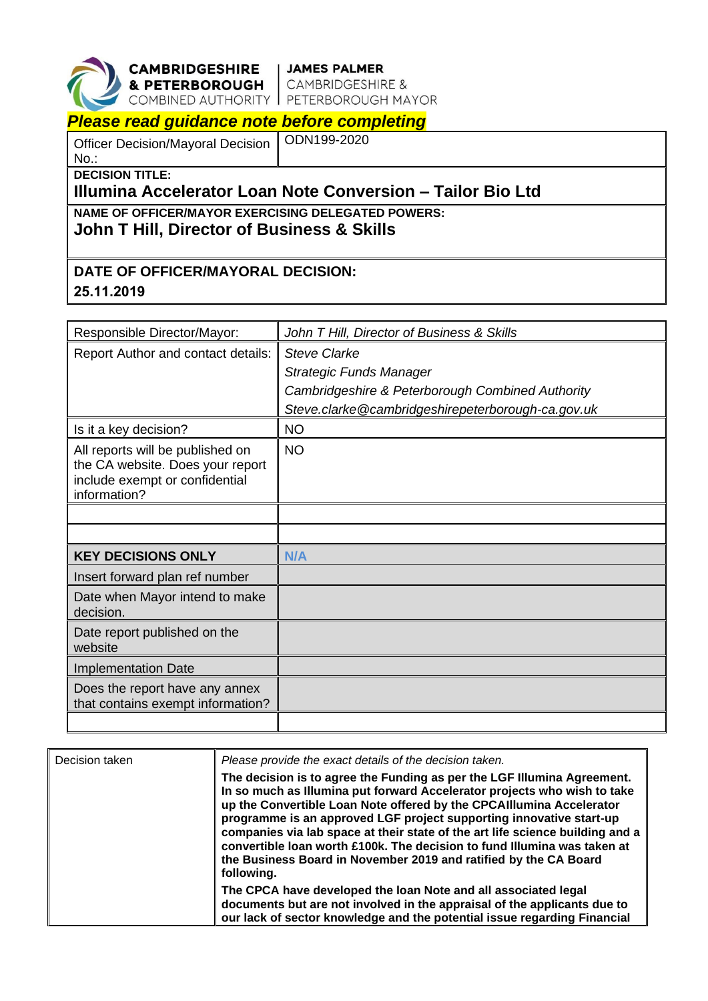

**CAMBRIDGESHIRE** 

| JAMES PALMER & PETERBOROUGH | CAMBRIDGESHIRE & COMBINED AUTHORITY | PETERBOROUGH MAYOR

## *Please read guidance note before completing*

Officer Decision/Mayoral Decision No.:

ODN199-2020

**DECISION TITLE:**

## **Illumina Accelerator Loan Note Conversion – Tailor Bio Ltd**

**NAME OF OFFICER/MAYOR EXERCISING DELEGATED POWERS:**

**John T Hill, Director of Business & Skills**

## **DATE OF OFFICER/MAYORAL DECISION: 25.11.2019**

| Responsible Director/Mayor:                    | John T Hill, Director of Business & Skills        |  |
|------------------------------------------------|---------------------------------------------------|--|
| Report Author and contact details:             | <b>Steve Clarke</b>                               |  |
|                                                | <b>Strategic Funds Manager</b>                    |  |
|                                                | Cambridgeshire & Peterborough Combined Authority  |  |
|                                                | Steve.clarke@cambridgeshirepeterborough-ca.gov.uk |  |
| Is it a key decision?                          | <b>NO</b>                                         |  |
| All reports will be published on               | <b>NO</b>                                         |  |
| the CA website. Does your report               |                                                   |  |
| include exempt or confidential<br>information? |                                                   |  |
|                                                |                                                   |  |
|                                                |                                                   |  |
| <b>KEY DECISIONS ONLY</b>                      | N/A                                               |  |
| Insert forward plan ref number                 |                                                   |  |
| Date when Mayor intend to make<br>decision.    |                                                   |  |
|                                                |                                                   |  |
| Date report published on the<br>website        |                                                   |  |
| <b>Implementation Date</b>                     |                                                   |  |
| Does the report have any annex                 |                                                   |  |
| that contains exempt information?              |                                                   |  |
|                                                |                                                   |  |

| Decision taken | Please provide the exact details of the decision taken.                                                                                                                                                                                                                                                                                                                                                                                                                                                                                           |
|----------------|---------------------------------------------------------------------------------------------------------------------------------------------------------------------------------------------------------------------------------------------------------------------------------------------------------------------------------------------------------------------------------------------------------------------------------------------------------------------------------------------------------------------------------------------------|
|                | The decision is to agree the Funding as per the LGF Illumina Agreement.<br>In so much as Illumina put forward Accelerator projects who wish to take<br>up the Convertible Loan Note offered by the CPCAIIIumina Accelerator<br>programme is an approved LGF project supporting innovative start-up<br>companies via lab space at their state of the art life science building and a<br>convertible loan worth £100k. The decision to fund Illumina was taken at<br>the Business Board in November 2019 and ratified by the CA Board<br>following. |
|                | The CPCA have developed the loan Note and all associated legal<br>documents but are not involved in the appraisal of the applicants due to<br>our lack of sector knowledge and the potential issue regarding Financial                                                                                                                                                                                                                                                                                                                            |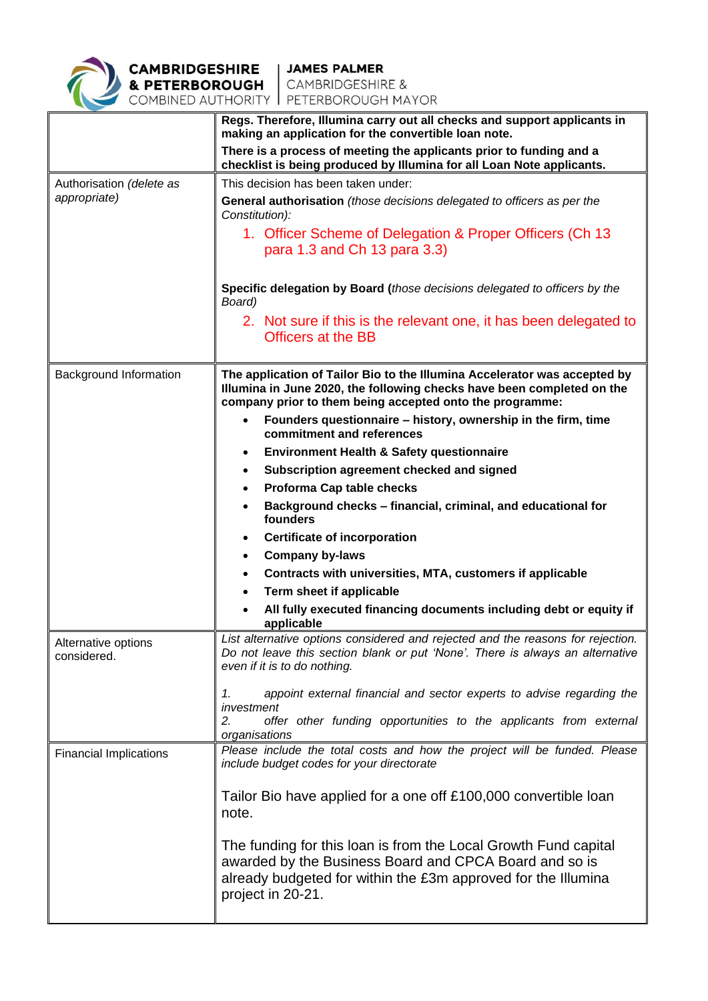

|                                    | Regs. Therefore, Illumina carry out all checks and support applicants in<br>making an application for the convertible loan note.                                                                                |  |
|------------------------------------|-----------------------------------------------------------------------------------------------------------------------------------------------------------------------------------------------------------------|--|
|                                    | There is a process of meeting the applicants prior to funding and a<br>checklist is being produced by Illumina for all Loan Note applicants.                                                                    |  |
| Authorisation (delete as           | This decision has been taken under:                                                                                                                                                                             |  |
| appropriate)                       | General authorisation (those decisions delegated to officers as per the<br>Constitution):                                                                                                                       |  |
|                                    | 1. Officer Scheme of Delegation & Proper Officers (Ch 13)                                                                                                                                                       |  |
|                                    | para 1.3 and Ch 13 para 3.3)                                                                                                                                                                                    |  |
|                                    | Specific delegation by Board (those decisions delegated to officers by the<br>Board)                                                                                                                            |  |
|                                    | 2. Not sure if this is the relevant one, it has been delegated to<br><b>Officers at the BB</b>                                                                                                                  |  |
|                                    |                                                                                                                                                                                                                 |  |
| Background Information             | The application of Tailor Bio to the Illumina Accelerator was accepted by<br>Illumina in June 2020, the following checks have been completed on the<br>company prior to them being accepted onto the programme: |  |
|                                    | Founders questionnaire - history, ownership in the firm, time<br>$\bullet$<br>commitment and references                                                                                                         |  |
|                                    | <b>Environment Health &amp; Safety questionnaire</b><br>$\bullet$                                                                                                                                               |  |
|                                    | Subscription agreement checked and signed<br>$\bullet$                                                                                                                                                          |  |
|                                    | Proforma Cap table checks<br>$\bullet$                                                                                                                                                                          |  |
|                                    | Background checks - financial, criminal, and educational for<br>٠<br>founders                                                                                                                                   |  |
|                                    | <b>Certificate of incorporation</b><br>$\bullet$                                                                                                                                                                |  |
|                                    | <b>Company by-laws</b><br>٠                                                                                                                                                                                     |  |
|                                    | Contracts with universities, MTA, customers if applicable                                                                                                                                                       |  |
|                                    | Term sheet if applicable<br>$\bullet$                                                                                                                                                                           |  |
|                                    | All fully executed financing documents including debt or equity if<br>applicable                                                                                                                                |  |
| Alternative options<br>considered. | List alternative options considered and rejected and the reasons for rejection.<br>Do not leave this section blank or put 'None'. There is always an alternative<br>even if it is to do nothing.                |  |
|                                    | appoint external financial and sector experts to advise regarding the<br>1.<br>investment                                                                                                                       |  |
|                                    | offer other funding opportunities to the applicants from external<br>2.<br>organisations                                                                                                                        |  |
| <b>Financial Implications</b>      | Please include the total costs and how the project will be funded. Please<br>include budget codes for your directorate                                                                                          |  |
|                                    | Tailor Bio have applied for a one off £100,000 convertible loan<br>note.                                                                                                                                        |  |
|                                    | The funding for this loan is from the Local Growth Fund capital<br>awarded by the Business Board and CPCA Board and so is<br>already budgeted for within the £3m approved for the Illumina<br>project in 20-21. |  |